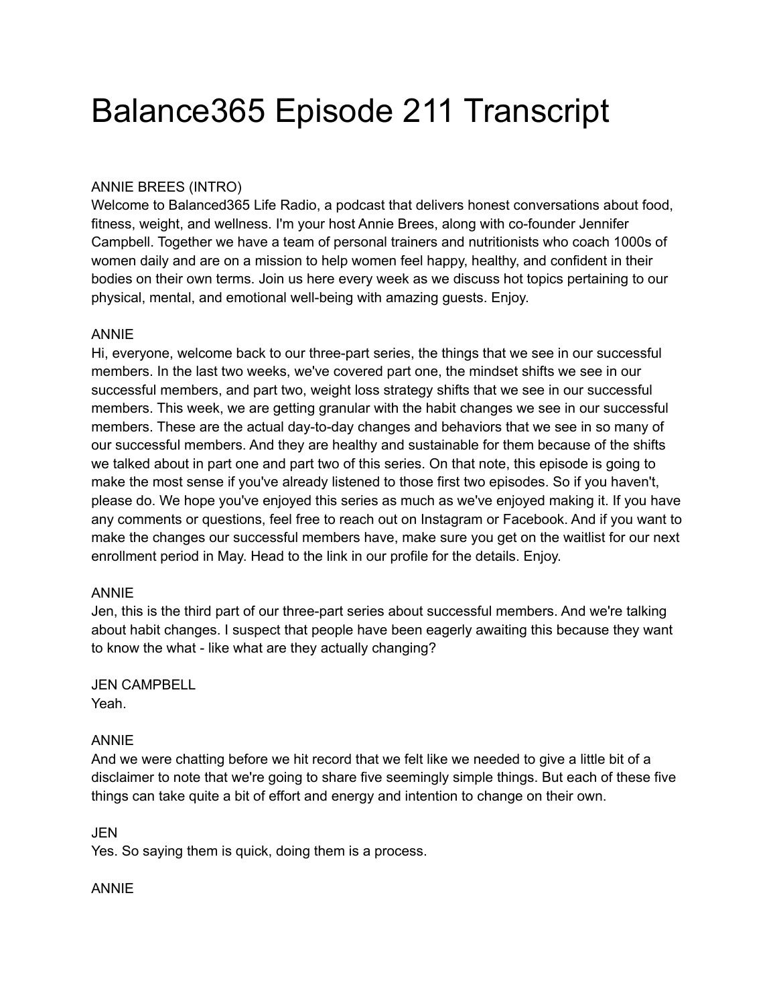# Balance365 Episode 211 Transcript

## ANNIE BREES (INTRO)

Welcome to Balanced365 Life Radio, a podcast that delivers honest conversations about food, fitness, weight, and wellness. I'm your host Annie Brees, along with co-founder Jennifer Campbell. Together we have a team of personal trainers and nutritionists who coach 1000s of women daily and are on a mission to help women feel happy, healthy, and confident in their bodies on their own terms. Join us here every week as we discuss hot topics pertaining to our physical, mental, and emotional well-being with amazing guests. Enjoy.

#### ANNIE

Hi, everyone, welcome back to our three-part series, the things that we see in our successful members. In the last two weeks, we've covered part one, the mindset shifts we see in our successful members, and part two, weight loss strategy shifts that we see in our successful members. This week, we are getting granular with the habit changes we see in our successful members. These are the actual day-to-day changes and behaviors that we see in so many of our successful members. And they are healthy and sustainable for them because of the shifts we talked about in part one and part two of this series. On that note, this episode is going to make the most sense if you've already listened to those first two episodes. So if you haven't, please do. We hope you've enjoyed this series as much as we've enjoyed making it. If you have any comments or questions, feel free to reach out on Instagram or Facebook. And if you want to make the changes our successful members have, make sure you get on the waitlist for our next enrollment period in May. Head to the link in our profile for the details. Enjoy.

#### ANNIE

Jen, this is the third part of our three-part series about successful members. And we're talking about habit changes. I suspect that people have been eagerly awaiting this because they want to know the what - like what are they actually changing?

## JEN CAMPBELL

Yeah.

#### ANNIE

And we were chatting before we hit record that we felt like we needed to give a little bit of a disclaimer to note that we're going to share five seemingly simple things. But each of these five things can take quite a bit of effort and energy and intention to change on their own.

#### **JEN**

Yes. So saying them is quick, doing them is a process.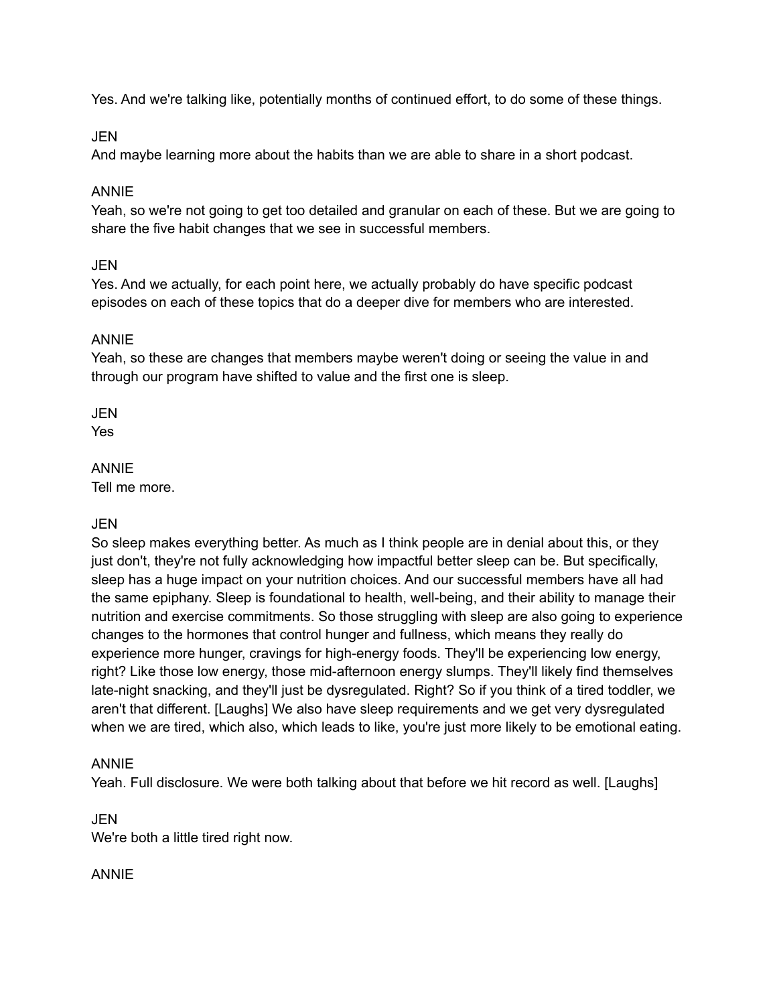Yes. And we're talking like, potentially months of continued effort, to do some of these things.

#### JEN

And maybe learning more about the habits than we are able to share in a short podcast.

#### ANNIE

Yeah, so we're not going to get too detailed and granular on each of these. But we are going to share the five habit changes that we see in successful members.

#### **JEN**

Yes. And we actually, for each point here, we actually probably do have specific podcast episodes on each of these topics that do a deeper dive for members who are interested.

#### ANNIE

Yeah, so these are changes that members maybe weren't doing or seeing the value in and through our program have shifted to value and the first one is sleep.

**JEN** 

Yes

#### ANNIE

Tell me more.

#### JEN

So sleep makes everything better. As much as I think people are in denial about this, or they just don't, they're not fully acknowledging how impactful better sleep can be. But specifically, sleep has a huge impact on your nutrition choices. And our successful members have all had the same epiphany. Sleep is foundational to health, well-being, and their ability to manage their nutrition and exercise commitments. So those struggling with sleep are also going to experience changes to the hormones that control hunger and fullness, which means they really do experience more hunger, cravings for high-energy foods. They'll be experiencing low energy, right? Like those low energy, those mid-afternoon energy slumps. They'll likely find themselves late-night snacking, and they'll just be dysregulated. Right? So if you think of a tired toddler, we aren't that different. [Laughs] We also have sleep requirements and we get very dysregulated when we are tired, which also, which leads to like, you're just more likely to be emotional eating.

#### ANNIE

Yeah. Full disclosure. We were both talking about that before we hit record as well. [Laughs]

#### JEN

We're both a little tired right now.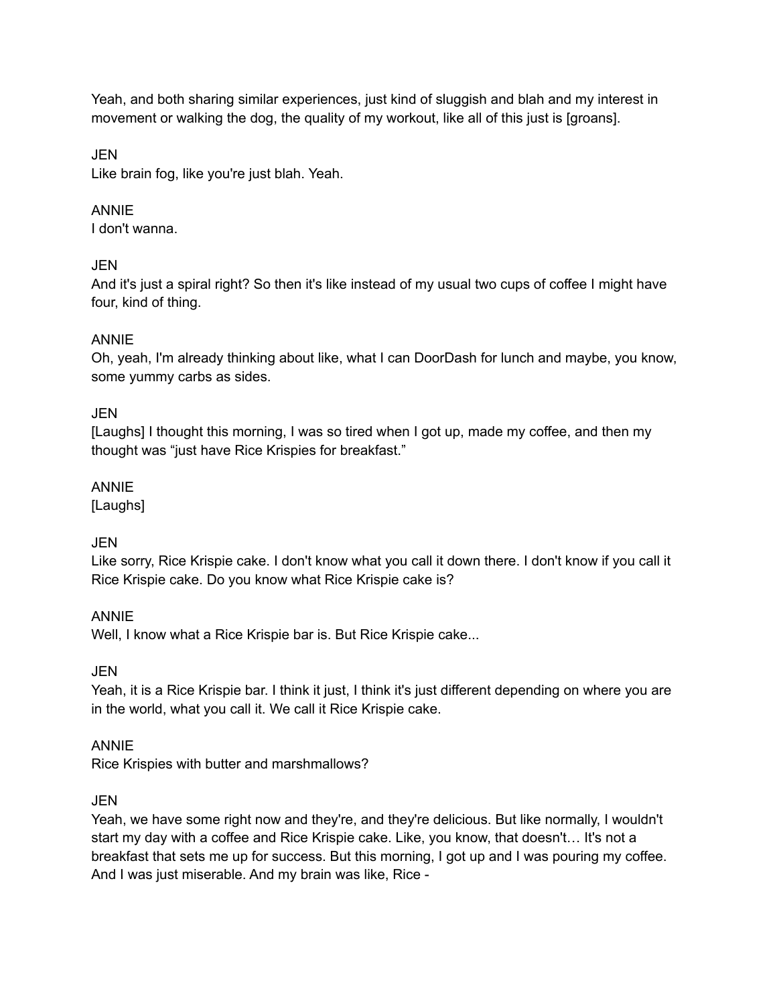Yeah, and both sharing similar experiences, just kind of sluggish and blah and my interest in movement or walking the dog, the quality of my workout, like all of this just is [groans].

## JEN

Like brain fog, like you're just blah. Yeah.

## ANNIE

I don't wanna.

## JEN

And it's just a spiral right? So then it's like instead of my usual two cups of coffee I might have four, kind of thing.

## ANNIE

Oh, yeah, I'm already thinking about like, what I can DoorDash for lunch and maybe, you know, some yummy carbs as sides.

## JEN

[Laughs] I thought this morning, I was so tired when I got up, made my coffee, and then my thought was "just have Rice Krispies for breakfast."

#### ANNIE

[Laughs]

## JEN

Like sorry, Rice Krispie cake. I don't know what you call it down there. I don't know if you call it Rice Krispie cake. Do you know what Rice Krispie cake is?

#### ANNIE

Well, I know what a Rice Krispie bar is. But Rice Krispie cake...

JEN

Yeah, it is a Rice Krispie bar. I think it just, I think it's just different depending on where you are in the world, what you call it. We call it Rice Krispie cake.

#### ANNIE

Rice Krispies with butter and marshmallows?

## JEN

Yeah, we have some right now and they're, and they're delicious. But like normally, I wouldn't start my day with a coffee and Rice Krispie cake. Like, you know, that doesn't… It's not a breakfast that sets me up for success. But this morning, I got up and I was pouring my coffee. And I was just miserable. And my brain was like, Rice -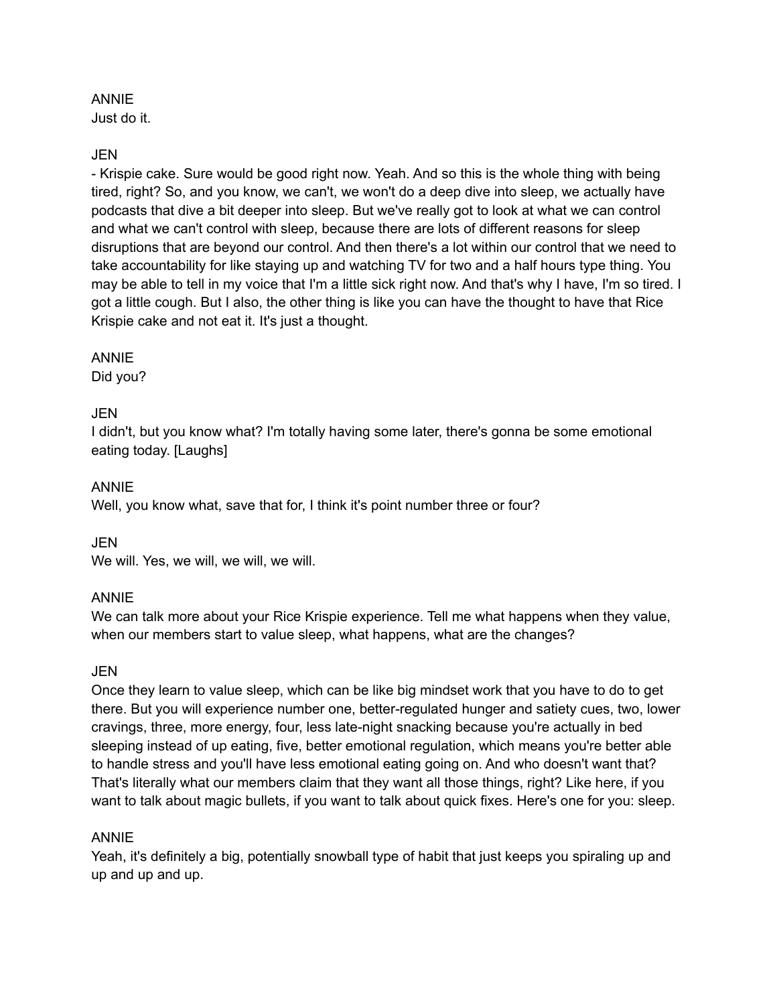## ANNIE

Just do it.

## JEN

- Krispie cake. Sure would be good right now. Yeah. And so this is the whole thing with being tired, right? So, and you know, we can't, we won't do a deep dive into sleep, we actually have podcasts that dive a bit deeper into sleep. But we've really got to look at what we can control and what we can't control with sleep, because there are lots of different reasons for sleep disruptions that are beyond our control. And then there's a lot within our control that we need to take accountability for like staying up and watching TV for two and a half hours type thing. You may be able to tell in my voice that I'm a little sick right now. And that's why I have, I'm so tired. I got a little cough. But I also, the other thing is like you can have the thought to have that Rice Krispie cake and not eat it. It's just a thought.

#### ANNIE

Did you?

## JEN

I didn't, but you know what? I'm totally having some later, there's gonna be some emotional eating today. [Laughs]

#### ANNIE

Well, you know what, save that for, I think it's point number three or four?

#### JEN

We will. Yes, we will, we will, we will.

#### ANNIE

We can talk more about your Rice Krispie experience. Tell me what happens when they value, when our members start to value sleep, what happens, what are the changes?

#### JEN

Once they learn to value sleep, which can be like big mindset work that you have to do to get there. But you will experience number one, better-regulated hunger and satiety cues, two, lower cravings, three, more energy, four, less late-night snacking because you're actually in bed sleeping instead of up eating, five, better emotional regulation, which means you're better able to handle stress and you'll have less emotional eating going on. And who doesn't want that? That's literally what our members claim that they want all those things, right? Like here, if you want to talk about magic bullets, if you want to talk about quick fixes. Here's one for you: sleep.

#### ANNIE

Yeah, it's definitely a big, potentially snowball type of habit that just keeps you spiraling up and up and up and up.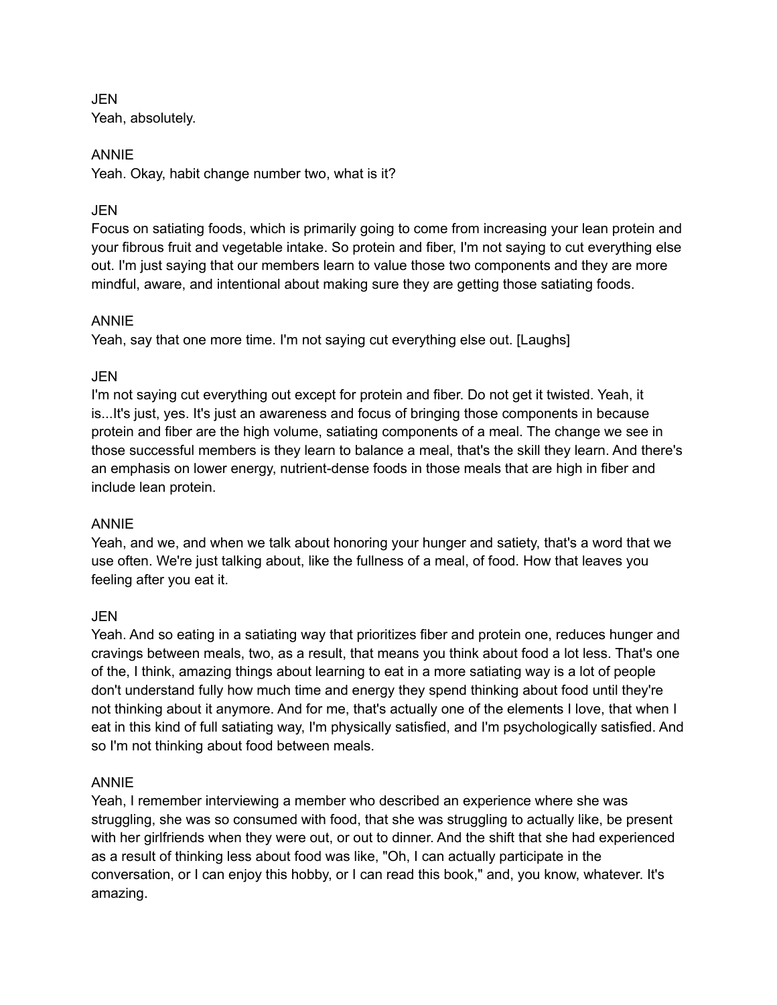JEN Yeah, absolutely.

#### ANNIE

Yeah. Okay, habit change number two, what is it?

## JEN

Focus on satiating foods, which is primarily going to come from increasing your lean protein and your fibrous fruit and vegetable intake. So protein and fiber, I'm not saying to cut everything else out. I'm just saying that our members learn to value those two components and they are more mindful, aware, and intentional about making sure they are getting those satiating foods.

#### ANNIE

Yeah, say that one more time. I'm not saying cut everything else out. [Laughs]

## JEN

I'm not saying cut everything out except for protein and fiber. Do not get it twisted. Yeah, it is...It's just, yes. It's just an awareness and focus of bringing those components in because protein and fiber are the high volume, satiating components of a meal. The change we see in those successful members is they learn to balance a meal, that's the skill they learn. And there's an emphasis on lower energy, nutrient-dense foods in those meals that are high in fiber and include lean protein.

#### ANNIE

Yeah, and we, and when we talk about honoring your hunger and satiety, that's a word that we use often. We're just talking about, like the fullness of a meal, of food. How that leaves you feeling after you eat it.

#### JEN

Yeah. And so eating in a satiating way that prioritizes fiber and protein one, reduces hunger and cravings between meals, two, as a result, that means you think about food a lot less. That's one of the, I think, amazing things about learning to eat in a more satiating way is a lot of people don't understand fully how much time and energy they spend thinking about food until they're not thinking about it anymore. And for me, that's actually one of the elements I love, that when I eat in this kind of full satiating way, I'm physically satisfied, and I'm psychologically satisfied. And so I'm not thinking about food between meals.

#### ANNIE

Yeah, I remember interviewing a member who described an experience where she was struggling, she was so consumed with food, that she was struggling to actually like, be present with her girlfriends when they were out, or out to dinner. And the shift that she had experienced as a result of thinking less about food was like, "Oh, I can actually participate in the conversation, or I can enjoy this hobby, or I can read this book," and, you know, whatever. It's amazing.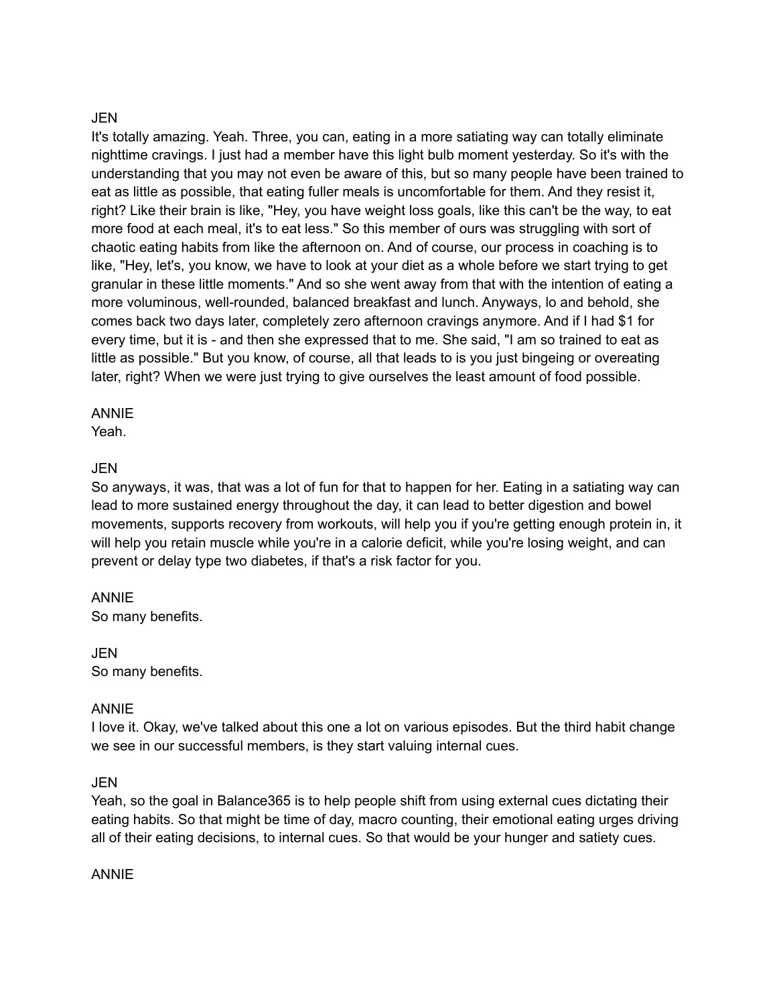#### JEN

It's totally amazing. Yeah. Three, you can, eating in a more satiating way can totally eliminate nighttime cravings. I just had a member have this light bulb moment yesterday. So it's with the understanding that you may not even be aware of this, but so many people have been trained to eat as little as possible, that eating fuller meals is uncomfortable for them. And they resist it, right? Like their brain is like, "Hey, you have weight loss goals, like this can't be the way, to eat more food at each meal, it's to eat less." So this member of ours was struggling with sort of chaotic eating habits from like the afternoon on. And of course, our process in coaching is to like, "Hey, let's, you know, we have to look at your diet as a whole before we start trying to get granular in these little moments." And so she went away from that with the intention of eating a more voluminous, well-rounded, balanced breakfast and lunch. Anyways, lo and behold, she comes back two days later, completely zero afternoon cravings anymore. And if I had \$1 for every time, but it is - and then she expressed that to me. She said, "I am so trained to eat as little as possible." But you know, of course, all that leads to is you just bingeing or overeating later, right? When we were just trying to give ourselves the least amount of food possible.

#### ANNIE

Yeah.

#### JEN

So anyways, it was, that was a lot of fun for that to happen for her. Eating in a satiating way can lead to more sustained energy throughout the day, it can lead to better digestion and bowel movements, supports recovery from workouts, will help you if you're getting enough protein in, it will help you retain muscle while you're in a calorie deficit, while you're losing weight, and can prevent or delay type two diabetes, if that's a risk factor for you.

#### ANNIE

So many benefits.

#### JEN So many benefits.

#### ANNIE

I love it. Okay, we've talked about this one a lot on various episodes. But the third habit change we see in our successful members, is they start valuing internal cues.

#### **JEN**

Yeah, so the goal in Balance365 is to help people shift from using external cues dictating their eating habits. So that might be time of day, macro counting, their emotional eating urges driving all of their eating decisions, to internal cues. So that would be your hunger and satiety cues.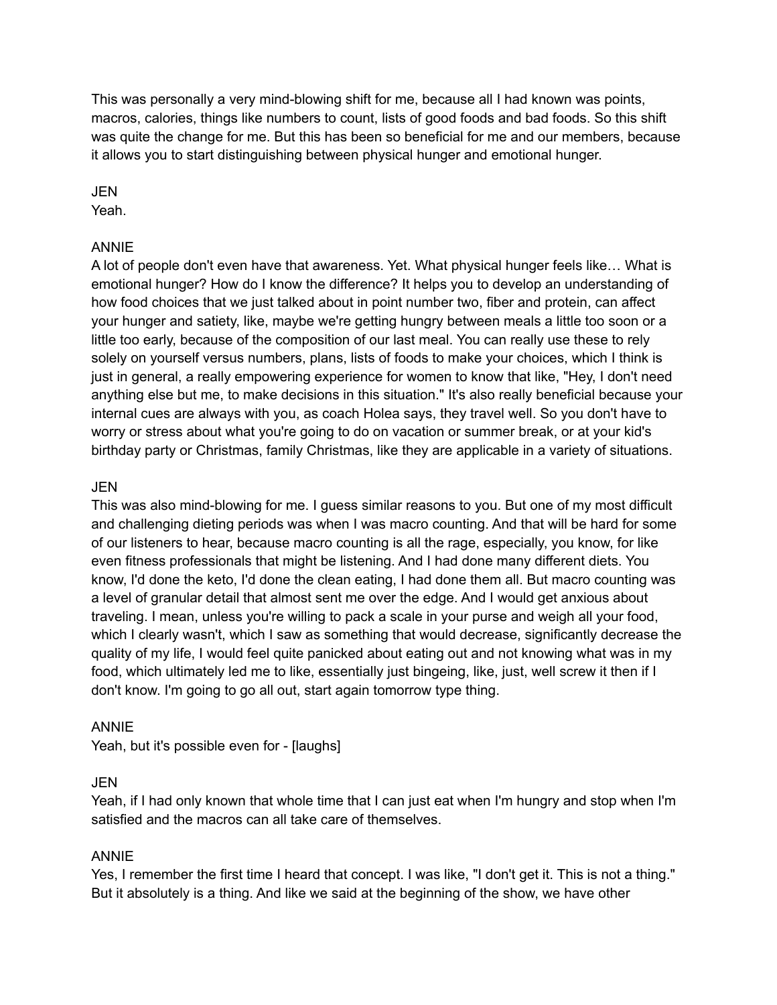This was personally a very mind-blowing shift for me, because all I had known was points, macros, calories, things like numbers to count, lists of good foods and bad foods. So this shift was quite the change for me. But this has been so beneficial for me and our members, because it allows you to start distinguishing between physical hunger and emotional hunger.

JEN Yeah.

#### ANNIE

A lot of people don't even have that awareness. Yet. What physical hunger feels like… What is emotional hunger? How do I know the difference? It helps you to develop an understanding of how food choices that we just talked about in point number two, fiber and protein, can affect your hunger and satiety, like, maybe we're getting hungry between meals a little too soon or a little too early, because of the composition of our last meal. You can really use these to rely solely on yourself versus numbers, plans, lists of foods to make your choices, which I think is just in general, a really empowering experience for women to know that like, "Hey, I don't need anything else but me, to make decisions in this situation." It's also really beneficial because your internal cues are always with you, as coach Holea says, they travel well. So you don't have to worry or stress about what you're going to do on vacation or summer break, or at your kid's birthday party or Christmas, family Christmas, like they are applicable in a variety of situations.

#### JEN

This was also mind-blowing for me. I guess similar reasons to you. But one of my most difficult and challenging dieting periods was when I was macro counting. And that will be hard for some of our listeners to hear, because macro counting is all the rage, especially, you know, for like even fitness professionals that might be listening. And I had done many different diets. You know, I'd done the keto, I'd done the clean eating, I had done them all. But macro counting was a level of granular detail that almost sent me over the edge. And I would get anxious about traveling. I mean, unless you're willing to pack a scale in your purse and weigh all your food, which I clearly wasn't, which I saw as something that would decrease, significantly decrease the quality of my life, I would feel quite panicked about eating out and not knowing what was in my food, which ultimately led me to like, essentially just bingeing, like, just, well screw it then if I don't know. I'm going to go all out, start again tomorrow type thing.

#### ANNIE

Yeah, but it's possible even for - [laughs]

#### JEN

Yeah, if I had only known that whole time that I can just eat when I'm hungry and stop when I'm satisfied and the macros can all take care of themselves.

#### ANNIE

Yes, I remember the first time I heard that concept. I was like, "I don't get it. This is not a thing." But it absolutely is a thing. And like we said at the beginning of the show, we have other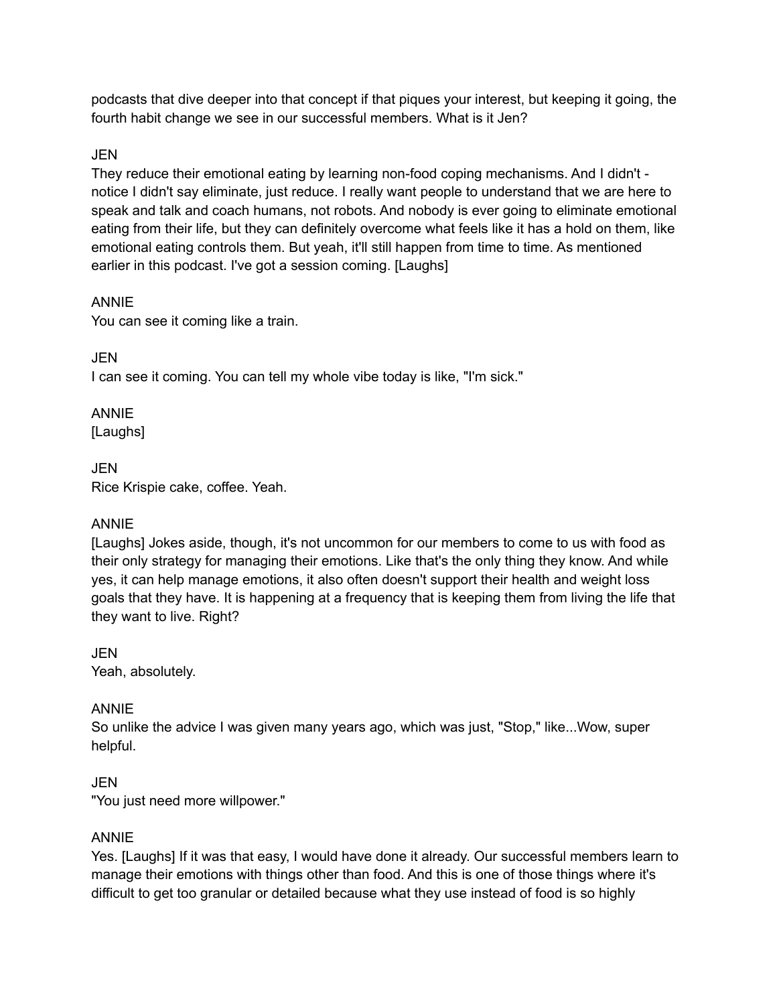podcasts that dive deeper into that concept if that piques your interest, but keeping it going, the fourth habit change we see in our successful members. What is it Jen?

## JEN

They reduce their emotional eating by learning non-food coping mechanisms. And I didn't notice I didn't say eliminate, just reduce. I really want people to understand that we are here to speak and talk and coach humans, not robots. And nobody is ever going to eliminate emotional eating from their life, but they can definitely overcome what feels like it has a hold on them, like emotional eating controls them. But yeah, it'll still happen from time to time. As mentioned earlier in this podcast. I've got a session coming. [Laughs]

## ANNIE

You can see it coming like a train.

JEN

I can see it coming. You can tell my whole vibe today is like, "I'm sick."

ANNIE [Laughs]

JEN Rice Krispie cake, coffee. Yeah.

#### ANNIE

[Laughs] Jokes aside, though, it's not uncommon for our members to come to us with food as their only strategy for managing their emotions. Like that's the only thing they know. And while yes, it can help manage emotions, it also often doesn't support their health and weight loss goals that they have. It is happening at a frequency that is keeping them from living the life that they want to live. Right?

JEN Yeah, absolutely.

## ANNIE

So unlike the advice I was given many years ago, which was just, "Stop," like...Wow, super helpful.

## JEN

"You just need more willpower."

#### ANNIE

Yes. [Laughs] If it was that easy, I would have done it already. Our successful members learn to manage their emotions with things other than food. And this is one of those things where it's difficult to get too granular or detailed because what they use instead of food is so highly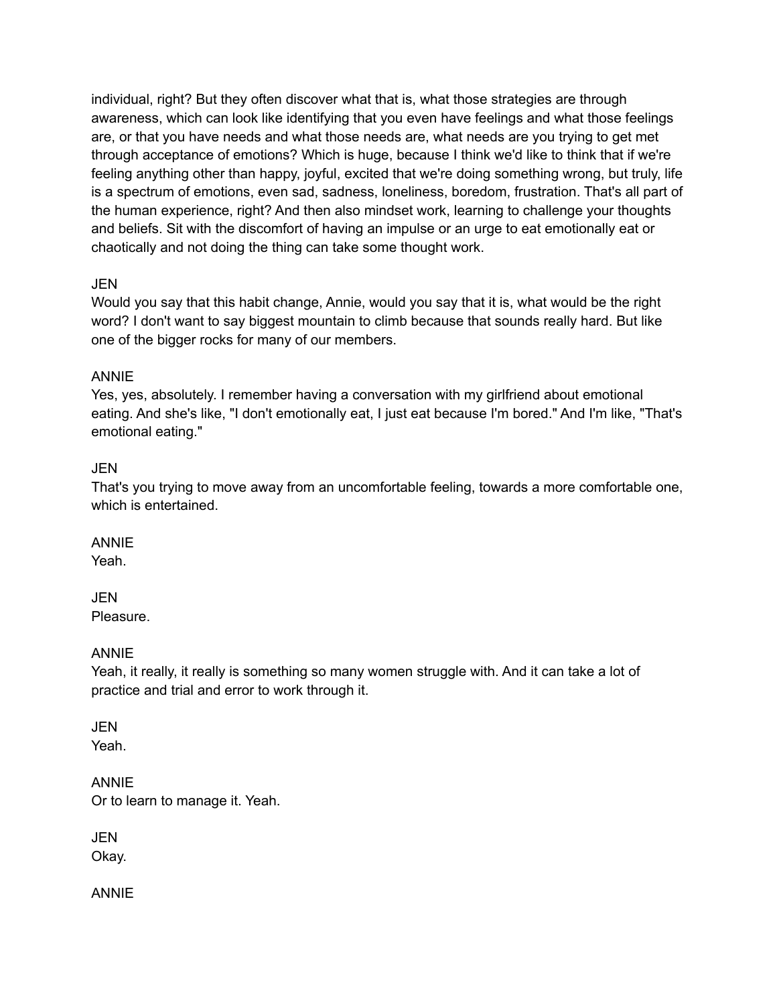individual, right? But they often discover what that is, what those strategies are through awareness, which can look like identifying that you even have feelings and what those feelings are, or that you have needs and what those needs are, what needs are you trying to get met through acceptance of emotions? Which is huge, because I think we'd like to think that if we're feeling anything other than happy, joyful, excited that we're doing something wrong, but truly, life is a spectrum of emotions, even sad, sadness, loneliness, boredom, frustration. That's all part of the human experience, right? And then also mindset work, learning to challenge your thoughts and beliefs. Sit with the discomfort of having an impulse or an urge to eat emotionally eat or chaotically and not doing the thing can take some thought work.

#### JEN

Would you say that this habit change, Annie, would you say that it is, what would be the right word? I don't want to say biggest mountain to climb because that sounds really hard. But like one of the bigger rocks for many of our members.

#### ANNIE

Yes, yes, absolutely. I remember having a conversation with my girlfriend about emotional eating. And she's like, "I don't emotionally eat, I just eat because I'm bored." And I'm like, "That's emotional eating."

#### JEN

That's you trying to move away from an uncomfortable feeling, towards a more comfortable one, which is entertained.

#### ANNIE

Yeah.

#### JEN Pleasure.

#### ANNIE

Yeah, it really, it really is something so many women struggle with. And it can take a lot of practice and trial and error to work through it.

#### JEN Yeah.

ANNIE Or to learn to manage it. Yeah.

JEN Okay.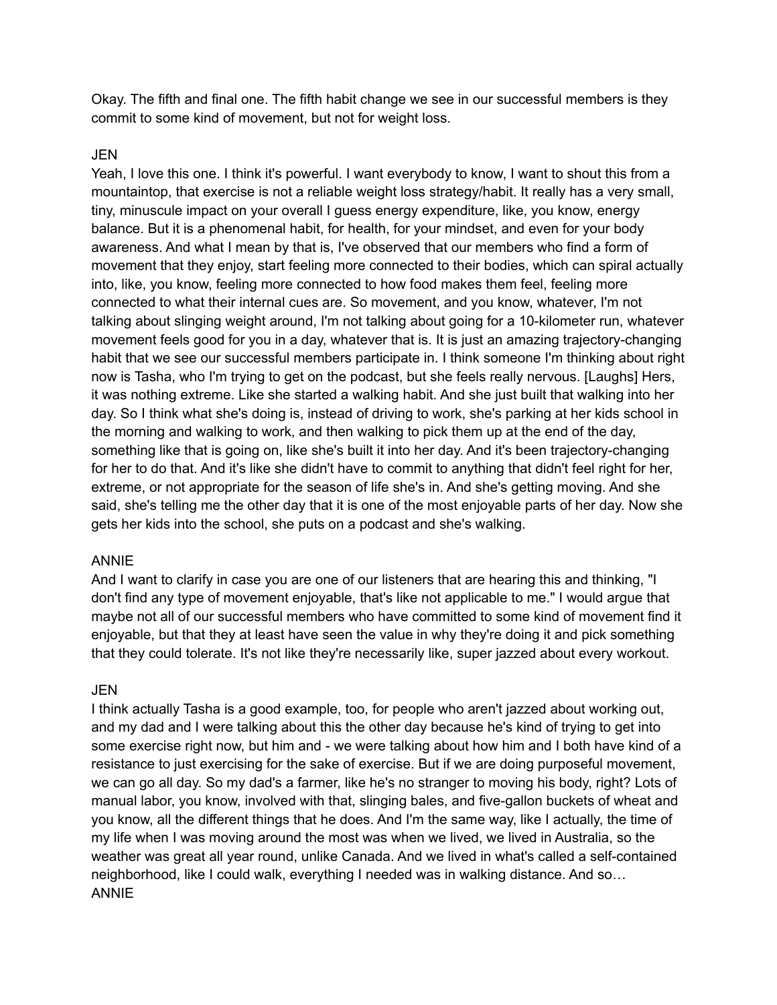Okay. The fifth and final one. The fifth habit change we see in our successful members is they commit to some kind of movement, but not for weight loss.

#### JEN

Yeah, I love this one. I think it's powerful. I want everybody to know, I want to shout this from a mountaintop, that exercise is not a reliable weight loss strategy/habit. It really has a very small, tiny, minuscule impact on your overall I guess energy expenditure, like, you know, energy balance. But it is a phenomenal habit, for health, for your mindset, and even for your body awareness. And what I mean by that is, I've observed that our members who find a form of movement that they enjoy, start feeling more connected to their bodies, which can spiral actually into, like, you know, feeling more connected to how food makes them feel, feeling more connected to what their internal cues are. So movement, and you know, whatever, I'm not talking about slinging weight around, I'm not talking about going for a 10-kilometer run, whatever movement feels good for you in a day, whatever that is. It is just an amazing trajectory-changing habit that we see our successful members participate in. I think someone I'm thinking about right now is Tasha, who I'm trying to get on the podcast, but she feels really nervous. [Laughs] Hers, it was nothing extreme. Like she started a walking habit. And she just built that walking into her day. So I think what she's doing is, instead of driving to work, she's parking at her kids school in the morning and walking to work, and then walking to pick them up at the end of the day, something like that is going on, like she's built it into her day. And it's been trajectory-changing for her to do that. And it's like she didn't have to commit to anything that didn't feel right for her, extreme, or not appropriate for the season of life she's in. And she's getting moving. And she said, she's telling me the other day that it is one of the most enjoyable parts of her day. Now she gets her kids into the school, she puts on a podcast and she's walking.

#### ANNIE

And I want to clarify in case you are one of our listeners that are hearing this and thinking, "I don't find any type of movement enjoyable, that's like not applicable to me." I would argue that maybe not all of our successful members who have committed to some kind of movement find it enjoyable, but that they at least have seen the value in why they're doing it and pick something that they could tolerate. It's not like they're necessarily like, super jazzed about every workout.

#### JEN

I think actually Tasha is a good example, too, for people who aren't jazzed about working out, and my dad and I were talking about this the other day because he's kind of trying to get into some exercise right now, but him and - we were talking about how him and I both have kind of a resistance to just exercising for the sake of exercise. But if we are doing purposeful movement, we can go all day. So my dad's a farmer, like he's no stranger to moving his body, right? Lots of manual labor, you know, involved with that, slinging bales, and five-gallon buckets of wheat and you know, all the different things that he does. And I'm the same way, like I actually, the time of my life when I was moving around the most was when we lived, we lived in Australia, so the weather was great all year round, unlike Canada. And we lived in what's called a self-contained neighborhood, like I could walk, everything I needed was in walking distance. And so… ANNIE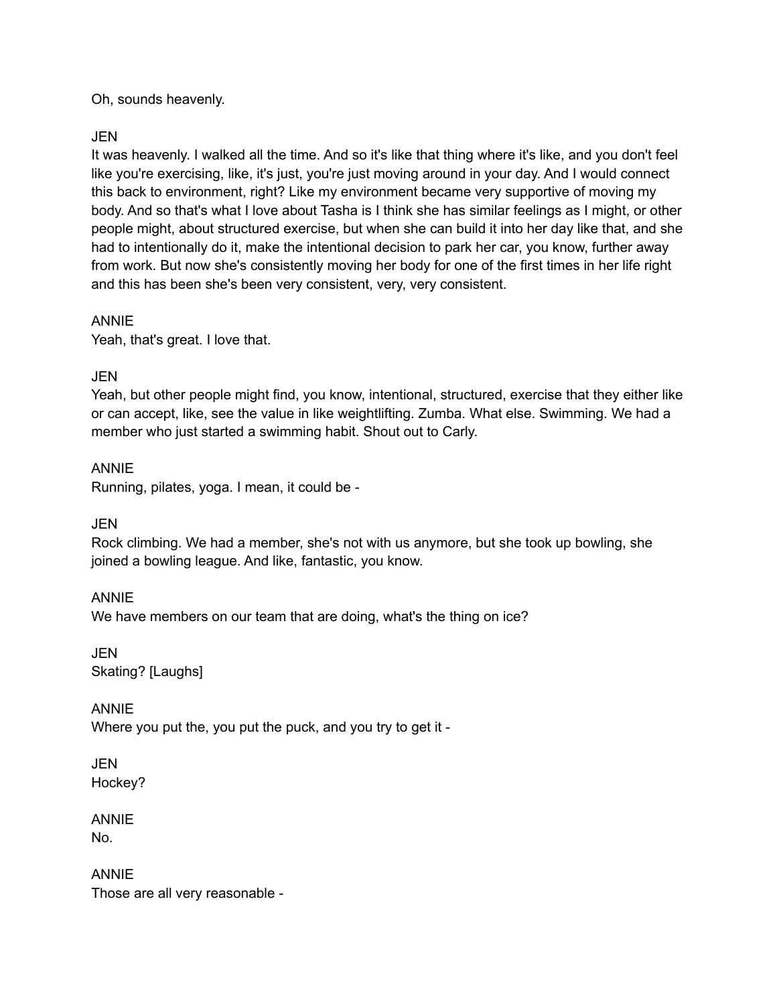Oh, sounds heavenly.

## JEN

It was heavenly. I walked all the time. And so it's like that thing where it's like, and you don't feel like you're exercising, like, it's just, you're just moving around in your day. And I would connect this back to environment, right? Like my environment became very supportive of moving my body. And so that's what I love about Tasha is I think she has similar feelings as I might, or other people might, about structured exercise, but when she can build it into her day like that, and she had to intentionally do it, make the intentional decision to park her car, you know, further away from work. But now she's consistently moving her body for one of the first times in her life right and this has been she's been very consistent, very, very consistent.

#### ANNIE

Yeah, that's great. I love that.

## JEN

Yeah, but other people might find, you know, intentional, structured, exercise that they either like or can accept, like, see the value in like weightlifting. Zumba. What else. Swimming. We had a member who just started a swimming habit. Shout out to Carly.

## ANNIE

Running, pilates, yoga. I mean, it could be -

#### JEN

Rock climbing. We had a member, she's not with us anymore, but she took up bowling, she joined a bowling league. And like, fantastic, you know.

ANNIE We have members on our team that are doing, what's the thing on ice?

JEN Skating? [Laughs]

ANNIE Where you put the, you put the puck, and you try to get it -

JEN Hockey?

ANNIE No.

ANNIE Those are all very reasonable -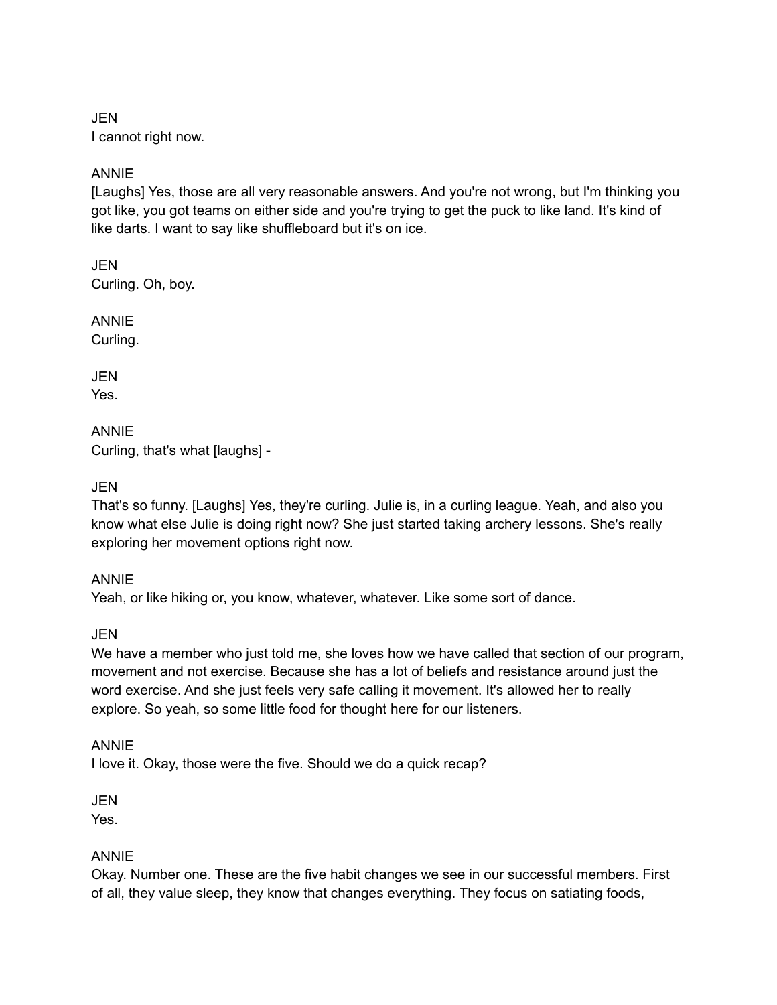JEN I cannot right now.

## ANNIE

[Laughs] Yes, those are all very reasonable answers. And you're not wrong, but I'm thinking you got like, you got teams on either side and you're trying to get the puck to like land. It's kind of like darts. I want to say like shuffleboard but it's on ice.

**JEN** Curling. Oh, boy.

ANNIE

Curling.

JEN Yes.

ANNIE Curling, that's what [laughs] -

JEN

That's so funny. [Laughs] Yes, they're curling. Julie is, in a curling league. Yeah, and also you know what else Julie is doing right now? She just started taking archery lessons. She's really exploring her movement options right now.

#### ANNIE

Yeah, or like hiking or, you know, whatever, whatever. Like some sort of dance.

JEN

We have a member who just told me, she loves how we have called that section of our program, movement and not exercise. Because she has a lot of beliefs and resistance around just the word exercise. And she just feels very safe calling it movement. It's allowed her to really explore. So yeah, so some little food for thought here for our listeners.

#### ANNIE

I love it. Okay, those were the five. Should we do a quick recap?

JEN

Yes.

#### ANNIE

Okay. Number one. These are the five habit changes we see in our successful members. First of all, they value sleep, they know that changes everything. They focus on satiating foods,